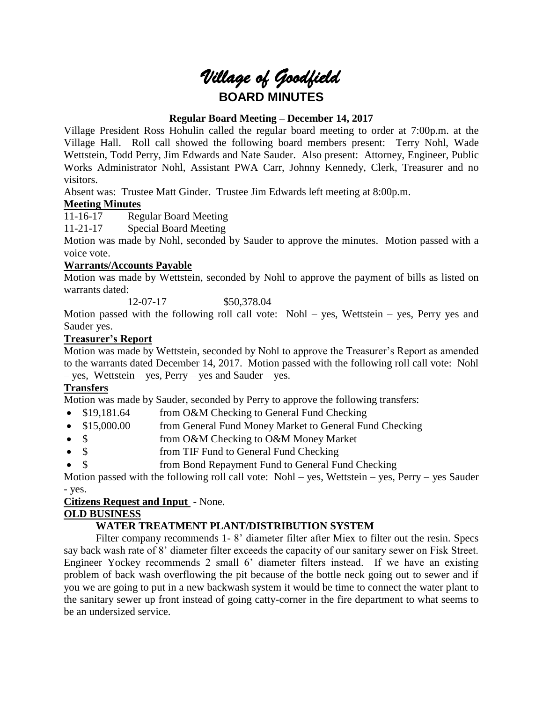# *Village of Goodfield* **BOARD MINUTES**

## **Regular Board Meeting – December 14, 2017**

Village President Ross Hohulin called the regular board meeting to order at 7:00p.m. at the Village Hall. Roll call showed the following board members present: Terry Nohl, Wade Wettstein, Todd Perry, Jim Edwards and Nate Sauder. Also present: Attorney, Engineer, Public Works Administrator Nohl, Assistant PWA Carr, Johnny Kennedy, Clerk, Treasurer and no visitors.

Absent was: Trustee Matt Ginder. Trustee Jim Edwards left meeting at 8:00p.m.

## **Meeting Minutes**

11-16-17 Regular Board Meeting

11-21-17 Special Board Meeting

Motion was made by Nohl, seconded by Sauder to approve the minutes. Motion passed with a voice vote.

## **Warrants/Accounts Payable**

Motion was made by Wettstein, seconded by Nohl to approve the payment of bills as listed on warrants dated:

12-07-17 \$50,378.04

Motion passed with the following roll call vote: Nohl – yes, Wettstein – yes, Perry yes and Sauder yes.

## **Treasurer's Report**

Motion was made by Wettstein, seconded by Nohl to approve the Treasurer's Report as amended to the warrants dated December 14, 2017. Motion passed with the following roll call vote: Nohl – yes, Wettstein – yes, Perry – yes and Sauder – yes.

## **Transfers**

Motion was made by Sauder, seconded by Perry to approve the following transfers:

- \$19,181.64 from O&M Checking to General Fund Checking
- \$15,000.00 from General Fund Money Market to General Fund Checking
- \$ from O&M Checking to O&M Money Market
- \$ from TIF Fund to General Fund Checking
- \$ from Bond Repayment Fund to General Fund Checking

Motion passed with the following roll call vote: Nohl – yes, Wettstein – yes, Perry – yes Sauder - yes.

## **Citizens Request and Input** - None.

## **OLD BUSINESS**

## **WATER TREATMENT PLANT/DISTRIBUTION SYSTEM**

Filter company recommends 1- 8' diameter filter after Miex to filter out the resin. Specs say back wash rate of 8' diameter filter exceeds the capacity of our sanitary sewer on Fisk Street. Engineer Yockey recommends 2 small 6' diameter filters instead. If we have an existing problem of back wash overflowing the pit because of the bottle neck going out to sewer and if you we are going to put in a new backwash system it would be time to connect the water plant to the sanitary sewer up front instead of going catty-corner in the fire department to what seems to be an undersized service.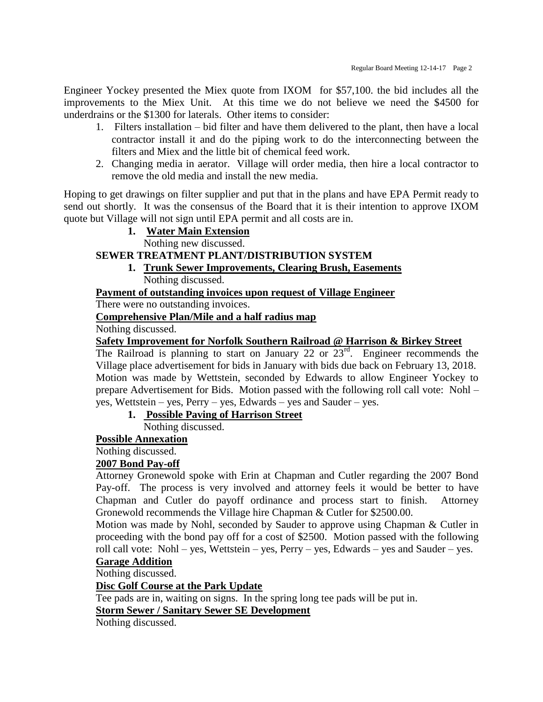Engineer Yockey presented the Miex quote from IXOM for \$57,100. the bid includes all the improvements to the Miex Unit. At this time we do not believe we need the \$4500 for underdrains or the \$1300 for laterals. Other items to consider:

- 1. Filters installation bid filter and have them delivered to the plant, then have a local contractor install it and do the piping work to do the interconnecting between the filters and Miex and the little bit of chemical feed work.
- 2. Changing media in aerator. Village will order media, then hire a local contractor to remove the old media and install the new media.

Hoping to get drawings on filter supplier and put that in the plans and have EPA Permit ready to send out shortly. It was the consensus of the Board that it is their intention to approve IXOM quote but Village will not sign until EPA permit and all costs are in.

**1. Water Main Extension**

Nothing new discussed.

# **SEWER TREATMENT PLANT/DISTRIBUTION SYSTEM**

**1. Trunk Sewer Improvements, Clearing Brush, Easements** Nothing discussed.

## **Payment of outstanding invoices upon request of Village Engineer**

There were no outstanding invoices.

**Comprehensive Plan/Mile and a half radius map**

Nothing discussed.

## **Safety Improvement for Norfolk Southern Railroad @ Harrison & Birkey Street**

The Railroad is planning to start on January 22 or  $23<sup>rd</sup>$ . Engineer recommends the Village place advertisement for bids in January with bids due back on February 13, 2018. Motion was made by Wettstein, seconded by Edwards to allow Engineer Yockey to prepare Advertisement for Bids. Motion passed with the following roll call vote: Nohl – yes, Wettstein – yes, Perry – yes, Edwards – yes and Sauder – yes.

## **1. Possible Paving of Harrison Street**

Nothing discussed.

## **Possible Annexation**

# Nothing discussed.

## **2007 Bond Pay-off**

Attorney Gronewold spoke with Erin at Chapman and Cutler regarding the 2007 Bond Pay-off. The process is very involved and attorney feels it would be better to have Chapman and Cutler do payoff ordinance and process start to finish. Attorney Gronewold recommends the Village hire Chapman & Cutler for \$2500.00.

Motion was made by Nohl, seconded by Sauder to approve using Chapman & Cutler in proceeding with the bond pay off for a cost of \$2500. Motion passed with the following roll call vote: Nohl – yes, Wettstein – yes, Perry – yes, Edwards – yes and Sauder – yes.

## **Garage Addition**

Nothing discussed.

## **Disc Golf Course at the Park Update**

Tee pads are in, waiting on signs. In the spring long tee pads will be put in.

**Storm Sewer / Sanitary Sewer SE Development**

Nothing discussed.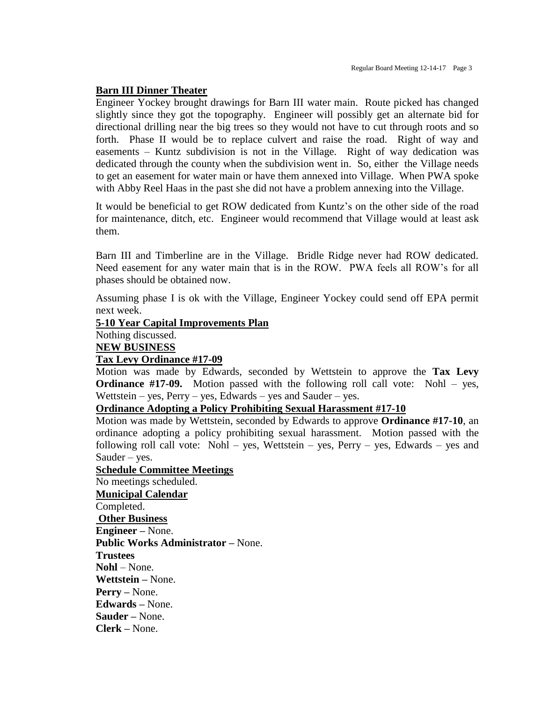#### **Barn III Dinner Theater**

Engineer Yockey brought drawings for Barn III water main. Route picked has changed slightly since they got the topography. Engineer will possibly get an alternate bid for directional drilling near the big trees so they would not have to cut through roots and so forth. Phase II would be to replace culvert and raise the road. Right of way and easements – Kuntz subdivision is not in the Village. Right of way dedication was dedicated through the county when the subdivision went in. So, either the Village needs to get an easement for water main or have them annexed into Village. When PWA spoke with Abby Reel Haas in the past she did not have a problem annexing into the Village.

It would be beneficial to get ROW dedicated from Kuntz's on the other side of the road for maintenance, ditch, etc. Engineer would recommend that Village would at least ask them.

Barn III and Timberline are in the Village. Bridle Ridge never had ROW dedicated. Need easement for any water main that is in the ROW. PWA feels all ROW's for all phases should be obtained now.

Assuming phase I is ok with the Village, Engineer Yockey could send off EPA permit next week.

#### **5-10 Year Capital Improvements Plan**

Nothing discussed.

**NEW BUSINESS**

#### **Tax Levy Ordinance #17-09**

Motion was made by Edwards, seconded by Wettstein to approve the **Tax Levy Ordinance #17-09.** Motion passed with the following roll call vote: Nohl – yes, Wettstein – yes,  $Perry - yes$ , Edwards – yes and Sauder – yes.

# **Ordinance Adopting a Policy Prohibiting Sexual Harassment #17-10**

Motion was made by Wettstein, seconded by Edwards to approve **Ordinance #17-10**, an ordinance adopting a policy prohibiting sexual harassment. Motion passed with the following roll call vote: Nohl – yes, Wettstein – yes, Perry – yes, Edwards – yes and Sauder – yes.

#### **Schedule Committee Meetings**

No meetings scheduled.

**Municipal Calendar** Completed. **Other Business Engineer –** None. **Public Works Administrator –** None. **Trustees Nohl** – None. **Wettstein –** None. **Perry –** None. **Edwards –** None. **Sauder –** None. **Clerk –** None.